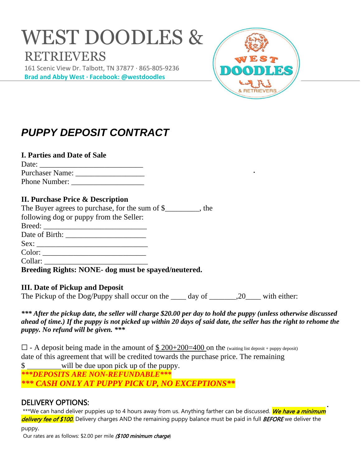# WEST DOODLES & RETRIEVERS

 161 Scenic View Dr. Talbott, TN 37877 · 865-805-9236  **Brad and Abby West · Facebook: @westdoodles**



## *PUPPY DEPOSIT CONTRACT*

## **I. Parties and Date of Sale**

| Date:           |  |
|-----------------|--|
| Purchaser Name: |  |
| Phone Number:   |  |

## **II. Purchase Price & Description**

| The Buyer agrees to purchase, for the sum of \$________, the |  |
|--------------------------------------------------------------|--|
| following dog or puppy from the Seller:                      |  |
| Breed:                                                       |  |
|                                                              |  |
| Sex:                                                         |  |
| Color:                                                       |  |
| Collar:                                                      |  |

**Breeding Rights: NONE- dog must be spayed/neutered.** 

## **III. Date of Pickup and Deposit**

The Pickup of the Dog/Puppy shall occur on the  $\frac{1}{20}$  ay of  $\frac{1}{20}$  with either:

*\*\*\* After the pickup date, the seller will charge \$20.00 per day to hold the puppy (unless otherwise discussed ahead of time.) If the puppy is not picked up within 20 days of said date, the seller has the right to rehome the puppy. No refund will be given. \*\*\**

 $\Box$  - A deposit being made in the amount of  $\frac{\$ 200+200=400}$  on the (waiting list deposit + puppy deposit) date of this agreement that will be credited towards the purchase price. The remaining \$ will be due upon pick up of the puppy. *\*\*\*DEPOSITS ARE NON-REFUNDABLE\*\*\* \*\*\* CASH ONLY AT PUPPY PICK UP, NO EXCEPTIONS\*\**

## DELIVERY OPTIONS:

\*\*\*We can hand deliver puppies up to 4 hours away from us. Anything farther can be discussed. We have a minimum delivery fee of \$100. Delivery charges AND the remaining puppy balance must be paid in full BEFORE we deliver the

puppy.

Our rates are as follows: \$2.00 per mile (\$100 minimum charge)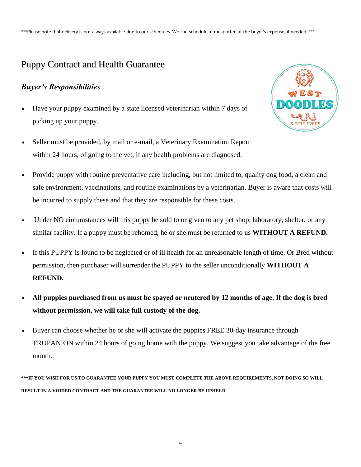\*\*\*Please note that delivery is not always available due to our schedules. We can schedule a transporter, at the buyer's expense, if needed. \*\*\*

## Puppy Contract and Health Guarantee

## *Buyer's Responsibilities*

- Have your puppy examined by a state licensed veterinarian within 7 days of picking up your puppy.
- Seller must be provided, by mail or e-mail, a Veterinary Examination Report within 24 hours, of going to the vet, if any health problems are diagnosed.



- Provide puppy with routine preventative care including, but not limited to, quality dog food, a clean and safe environment, vaccinations, and routine examinations by a veterinarian. Buyer is aware that costs will be incurred to supply these and that they are responsible for these costs.
- Under NO circumstances will this puppy be sold to or given to any pet shop, laboratory, shelter, or any similar facility. If a puppy must be rehomed, he or she must be returned to us **WITHOUT A REFUND**.
- If this PUPPY is found to be neglected or of ill health for an unreasonable length of time, Or Bred without permission, then purchaser will surrender the PUPPY to the seller unconditionally **WITHOUT A REFUND.**
- **All puppies purchased from us must be spayed or neutered by 12 months of age. If the dog is bred without permission, we will take full custody of the dog.**
- Buyer can choose whether he or she will activate the puppies FREE 30-day insurance through TRUPANION within 24 hours of going home with the puppy. We suggest you take advantage of the free month.

**\*\*\*IF YOU WISH FOR US TO GUARANTEE YOUR PUPPY YOU MUST COMPLETE THE ABOVE REQUIREMENTS, NOT DOING SO WILL RESULT IN A VOIDED CONTRACT AND THE GUARANTEE WILL NO LONGER BE UPHELD.**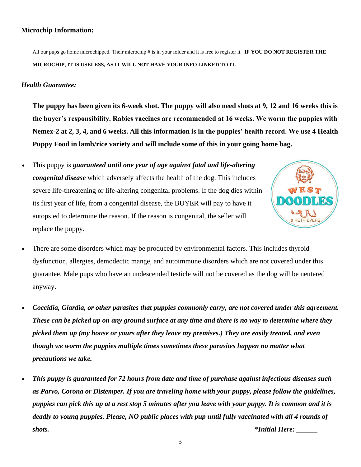### **Microchip Information:**

All our pups go home microchipped. Their microchip # is in your folder and it is free to register it. **IF YOU DO NOT REGISTER THE MICROCHIP, IT IS USELESS, AS IT WILL NOT HAVE YOUR INFO LINKED TO IT.**

### *Health Guarantee:*

**The puppy has been given its 6-week shot. The puppy will also need shots at 9, 12 and 16 weeks this is the buyer's responsibility. Rabies vaccines are recommended at 16 weeks. We worm the puppies with Nemex-2 at 2, 3, 4, and 6 weeks. All this information is in the puppies' health record. We use 4 Health Puppy Food in lamb/rice variety and will include some of this in your going home bag.** 

• This puppy is *guaranteed until one year of age against fatal and life-altering congenital disease* which adversely affects the health of the dog. This includes severe life-threatening or life-altering congenital problems. If the dog dies within its first year of life, from a congenital disease, the BUYER will pay to have it autopsied to determine the reason. If the reason is congenital, the seller will replace the puppy.



- There are some disorders which may be produced by environmental factors. This includes thyroid dysfunction, allergies, demodectic mange, and autoimmune disorders which are not covered under this guarantee. Male pups who have an undescended testicle will not be covered as the dog will be neutered anyway.
- *Coccidia, Giardia, or other parasites that puppies commonly carry, are not covered under this agreement. These can be picked up on any ground surface at any time and there is no way to determine where they picked them up (my house or yours after they leave my premises.) They are easily treated, and even though we worm the puppies multiple times sometimes these parasites happen no matter what precautions we take.*
- *This puppy is guaranteed for 72 hours from date and time of purchase against infectious diseases such as Parvo, Corona or Distemper. If you are traveling home with your puppy, please follow the guidelines, puppies can pick this up at a rest stop 5 minutes after you leave with your puppy. It is common and it is deadly to young puppies. Please, NO public places with pup until fully vaccinated with all 4 rounds of shots.* \**Initial Here: \_\_\_\_\_\_*